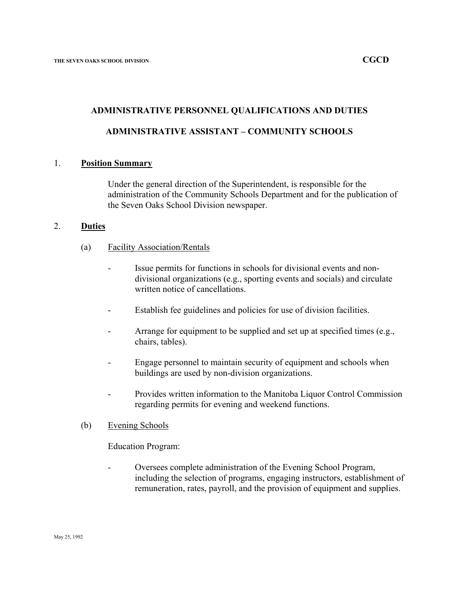### **ADMINISTRATIVE PERSONNEL QUALIFICATIONS AND DUTIES**

### **ADMINISTRATIVE ASSISTANT – COMMUNITY SCHOOLS**

#### 1. **Position Summary**

Under the general direction of the Superintendent, is responsible for the administration of the Community Schools Department and for the publication of the Seven Oaks School Division newspaper.

#### 2. **Duties**

- (a) Facility Association/Rentals
	- Issue permits for functions in schools for divisional events and nondivisional organizations (e.g., sporting events and socials) and circulate written notice of cancellations.
	- Establish fee guidelines and policies for use of division facilities.
	- Arrange for equipment to be supplied and set up at specified times (e.g., chairs, tables).
	- Engage personnel to maintain security of equipment and schools when buildings are used by non-division organizations.
	- Provides written information to the Manitoba Liquor Control Commission regarding permits for evening and weekend functions.
- (b) Evening Schools

Education Program:

- Oversees complete administration of the Evening School Program, including the selection of programs, engaging instructors, establishment of remuneration, rates, payroll, and the provision of equipment and supplies.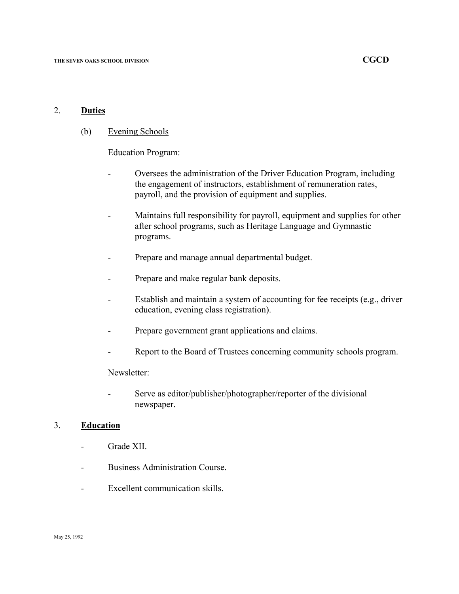### 2. **Duties**

(b) Evening Schools

Education Program:

- Oversees the administration of the Driver Education Program, including the engagement of instructors, establishment of remuneration rates, payroll, and the provision of equipment and supplies.
- Maintains full responsibility for payroll, equipment and supplies for other after school programs, such as Heritage Language and Gymnastic programs.
- Prepare and manage annual departmental budget.
- Prepare and make regular bank deposits.
- Establish and maintain a system of accounting for fee receipts (e.g., driver education, evening class registration).
- Prepare government grant applications and claims.
- Report to the Board of Trustees concerning community schools program.

Newsletter:

- Serve as editor/publisher/photographer/reporter of the divisional newspaper.

### 3. **Education**

- Grade XII.
- Business Administration Course.
- Excellent communication skills.